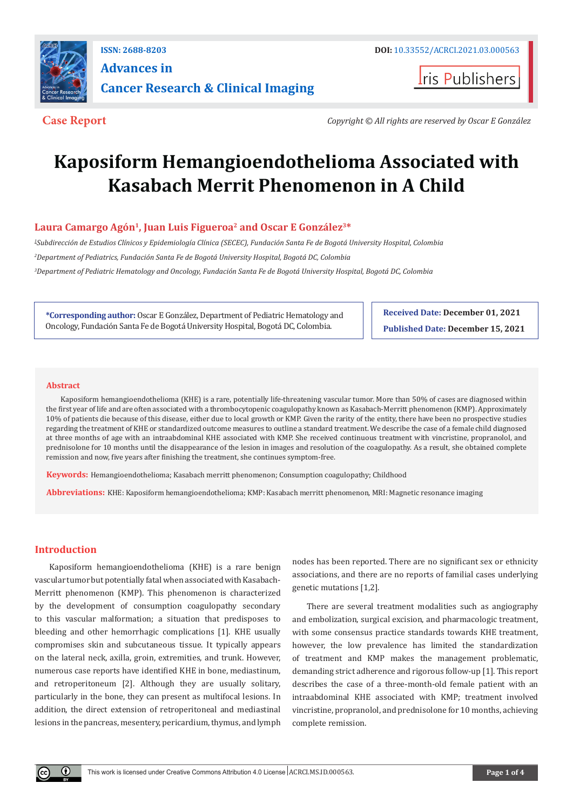

## **ISSN: 2688-8203 DOI:** [10.33552/ACRCI.2021.03.000563](http://dx.doi.org/10.33552/ACRCI.2021.03.000563) **Advances in Cancer Research & Clinical Imaging**

**Iris Publishers** 

**Case Report** *Copyright © All rights are reserved by Oscar E González*

# **Kaposiform Hemangioendothelioma Associated with Kasabach Merrit Phenomenon in A Child**

### Laura Camargo Agón<sup>1</sup>, Juan Luis Figueroa<sup>2</sup> and Oscar E González<sup>3\*</sup>

*1 Subdirección de Estudios Clínicos y Epidemiología Clínica (SECEC), Fundación Santa Fe de Bogotá University Hospital, Colombia 2 Department of Pediatrics, Fundación Santa Fe de Bogotá University Hospital, Bogotá DC, Colombia 3 Department of Pediatric Hematology and Oncology, Fundación Santa Fe de Bogotá University Hospital, Bogotá DC, Colombia*

**\*Corresponding author:** Oscar E González, Department of Pediatric Hematology and Oncology, Fundación Santa Fe de Bogotá University Hospital, Bogotá DC, Colombia.

**Received Date: December 01, 2021 Published Date: December 15, 2021**

#### **Abstract**

Kaposiform hemangioendothelioma (KHE) is a rare, potentially life-threatening vascular tumor. More than 50% of cases are diagnosed within the first year of life and are often associated with a thrombocytopenic coagulopathy known as Kasabach-Merritt phenomenon (KMP). Approximately 10% of patients die because of this disease, either due to local growth or KMP. Given the rarity of the entity, there have been no prospective studies regarding the treatment of KHE or standardized outcome measures to outline a standard treatment. We describe the case of a female child diagnosed at three months of age with an intraabdominal KHE associated with KMP. She received continuous treatment with vincristine, propranolol, and prednisolone for 10 months until the disappearance of the lesion in images and resolution of the coagulopathy. As a result, she obtained complete remission and now, five years after finishing the treatment, she continues symptom-free.

**Keywords:** Hemangioendothelioma; Kasabach merritt phenomenon; Consumption coagulopathy; Childhood

**Abbreviations:** KHE: Kaposiform hemangioendothelioma; KMP: Kasabach merritt phenomenon, MRI: Magnetic resonance imaging

#### **Introduction**

 $^\copyright$ 

Kaposiform hemangioendothelioma (KHE) is a rare benign vascular tumor but potentially fatal when associated with Kasabach-Merritt phenomenon (KMP). This phenomenon is characterized by the development of consumption coagulopathy secondary to this vascular malformation; a situation that predisposes to bleeding and other hemorrhagic complications [1]. KHE usually compromises skin and subcutaneous tissue. It typically appears on the lateral neck, axilla, groin, extremities, and trunk. However, numerous case reports have identified KHE in bone, mediastinum, and retroperitoneum [2]. Although they are usually solitary, particularly in the bone, they can present as multifocal lesions. In addition, the direct extension of retroperitoneal and mediastinal lesions in the pancreas, mesentery, pericardium, thymus, and lymph

nodes has been reported. There are no significant sex or ethnicity associations, and there are no reports of familial cases underlying genetic mutations [1,2].

There are several treatment modalities such as angiography and embolization, surgical excision, and pharmacologic treatment, with some consensus practice standards towards KHE treatment, however, the low prevalence has limited the standardization of treatment and KMP makes the management problematic, demanding strict adherence and rigorous follow-up [1]. This report describes the case of a three-month-old female patient with an intraabdominal KHE associated with KMP; treatment involved vincristine, propranolol, and prednisolone for 10 months, achieving complete remission.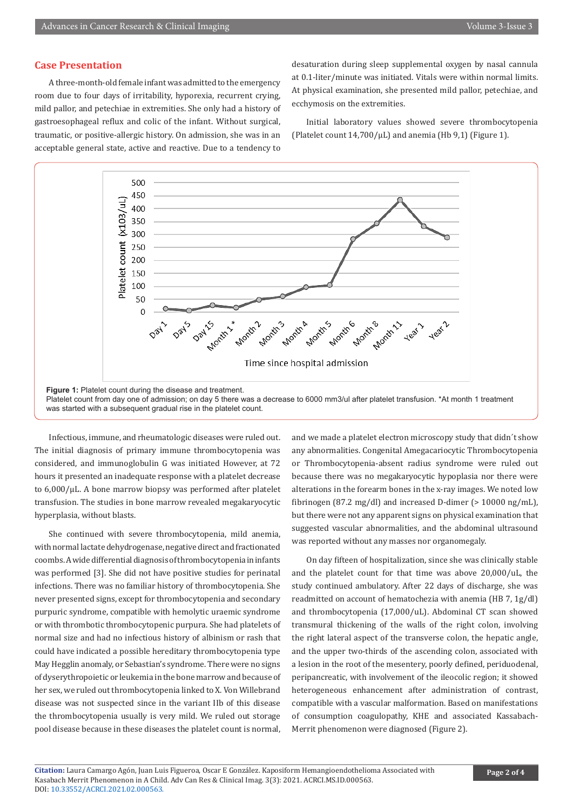#### **Case Presentation**

A three-month-old female infant was admitted to the emergency room due to four days of irritability, hyporexia, recurrent crying, mild pallor, and petechiae in extremities. She only had a history of gastroesophageal reflux and colic of the infant. Without surgical, traumatic, or positive-allergic history. On admission, she was in an acceptable general state, active and reactive. Due to a tendency to

desaturation during sleep supplemental oxygen by nasal cannula at 0.1-liter/minute was initiated. Vitals were within normal limits. At physical examination, she presented mild pallor, petechiae, and ecchymosis on the extremities.

Initial laboratory values showed severe thrombocytopenia (Platelet count  $14,700/\mu$ L) and anemia (Hb 9,1) (Figure 1).



Platelet count from day one of admission; on day 5 there was a decrease to 6000 mm3/ul after platelet transfusion. \*At month 1 treatment was started with a subsequent gradual rise in the platelet count.

Infectious, immune, and rheumatologic diseases were ruled out. The initial diagnosis of primary immune thrombocytopenia was considered, and immunoglobulin G was initiated However, at 72 hours it presented an inadequate response with a platelet decrease to 6,000/μL. A bone marrow biopsy was performed after platelet transfusion. The studies in bone marrow revealed megakaryocytic hyperplasia, without blasts.

She continued with severe thrombocytopenia, mild anemia, with normal lactate dehydrogenase, negative direct and fractionated coombs. A wide differential diagnosis of thrombocytopenia in infants was performed [3]. She did not have positive studies for perinatal infections. There was no familiar history of thrombocytopenia. She never presented signs, except for thrombocytopenia and secondary purpuric syndrome, compatible with hemolytic uraemic syndrome or with thrombotic thrombocytopenic purpura. She had platelets of normal size and had no infectious history of albinism or rash that could have indicated a possible hereditary thrombocytopenia type May Hegglin anomaly, or Sebastian's syndrome. There were no signs of dyserythropoietic or leukemia in the bone marrow and because of her sex, we ruled out thrombocytopenia linked to X. Von Willebrand disease was not suspected since in the variant IIb of this disease the thrombocytopenia usually is very mild. We ruled out storage pool disease because in these diseases the platelet count is normal,

and we made a platelet electron microscopy study that didn´t show any abnormalities. Congenital Amegacariocytic Thrombocytopenia or Thrombocytopenia-absent radius syndrome were ruled out because there was no megakaryocytic hypoplasia nor there were alterations in the forearm bones in the x-ray images. We noted low fibrinogen (87.2 mg/dl) and increased D-dimer (> 10000 ng/mL), but there were not any apparent signs on physical examination that suggested vascular abnormalities, and the abdominal ultrasound was reported without any masses nor organomegaly.

On day fifteen of hospitalization, since she was clinically stable and the platelet count for that time was above 20,000/uL, the study continued ambulatory. After 22 days of discharge, she was readmitted on account of hematochezia with anemia (HB 7, 1g/dl) and thrombocytopenia (17,000/uL). Abdominal CT scan showed transmural thickening of the walls of the right colon, involving the right lateral aspect of the transverse colon, the hepatic angle, and the upper two-thirds of the ascending colon, associated with a lesion in the root of the mesentery, poorly defined, periduodenal, peripancreatic, with involvement of the ileocolic region; it showed heterogeneous enhancement after administration of contrast, compatible with a vascular malformation. Based on manifestations of consumption coagulopathy, KHE and associated Kassabach-Merrit phenomenon were diagnosed (Figure 2).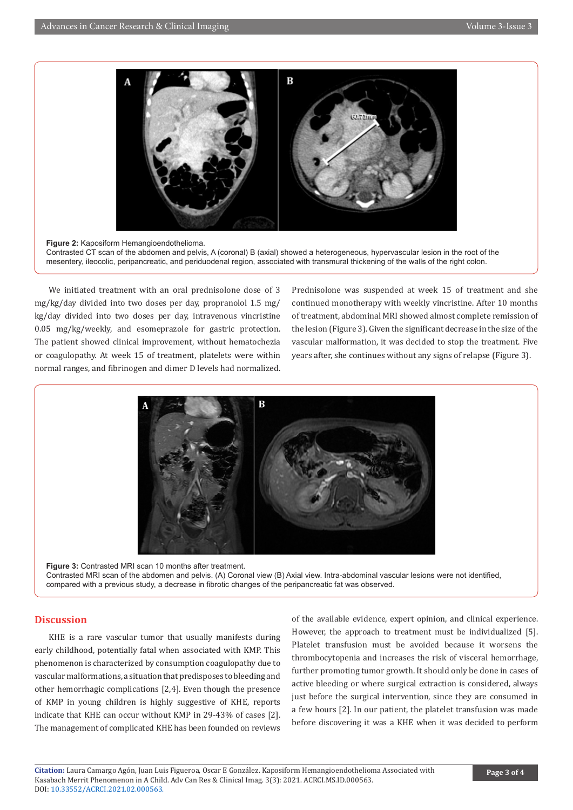

**Figure 2:** Kaposiform Hemangioendothelioma. Contrasted CT scan of the abdomen and pelvis, A (coronal) B (axial) showed a heterogeneous, hypervascular lesion in the root of the mesentery, ileocolic, peripancreatic, and periduodenal region, associated with transmural thickening of the walls of the right colon.

We initiated treatment with an oral prednisolone dose of 3 mg/kg/day divided into two doses per day, propranolol 1.5 mg/ kg/day divided into two doses per day, intravenous vincristine 0.05 mg/kg/weekly, and esomeprazole for gastric protection. The patient showed clinical improvement, without hematochezia or coagulopathy. At week 15 of treatment, platelets were within normal ranges, and fibrinogen and dimer D levels had normalized.

Prednisolone was suspended at week 15 of treatment and she continued monotherapy with weekly vincristine. After 10 months of treatment, abdominal MRI showed almost complete remission of the lesion (Figure 3). Given the significant decrease in the size of the vascular malformation, it was decided to stop the treatment. Five years after, she continues without any signs of relapse (Figure 3).



**Figure 3:** Contrasted MRI scan 10 months after treatment. Contrasted MRI scan of the abdomen and pelvis. (A) Coronal view (B) Axial view. Intra-abdominal vascular lesions were not identified, compared with a previous study, a decrease in fibrotic changes of the peripancreatic fat was observed.

#### **Discussion**

KHE is a rare vascular tumor that usually manifests during early childhood, potentially fatal when associated with KMP. This phenomenon is characterized by consumption coagulopathy due to vascular malformations, a situation that predisposes to bleeding and other hemorrhagic complications [2,4]. Even though the presence of KMP in young children is highly suggestive of KHE, reports indicate that KHE can occur without KMP in 29-43% of cases [2]. The management of complicated KHE has been founded on reviews

of the available evidence, expert opinion, and clinical experience. However, the approach to treatment must be individualized [5]. Platelet transfusion must be avoided because it worsens the thrombocytopenia and increases the risk of visceral hemorrhage, further promoting tumor growth. It should only be done in cases of active bleeding or where surgical extraction is considered, always just before the surgical intervention, since they are consumed in a few hours [2]. In our patient, the platelet transfusion was made before discovering it was a KHE when it was decided to perform